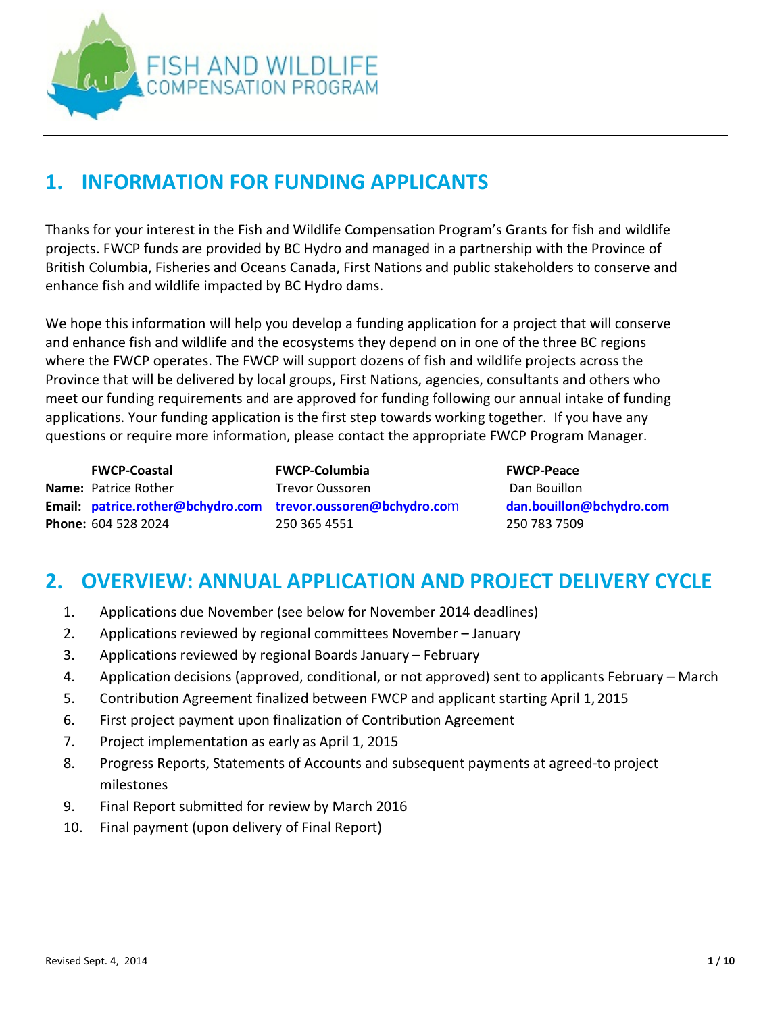

# **1. INFORMATION FOR FUNDING APPLICANTS**

Thanks for your interest in the Fish and Wildlife Compensation Program's Grants for fish and wildlife projects. FWCP funds are provided by BC Hydro and managed in a partnership with the Province of British Columbia, Fisheries and Oceans Canada, First Nations and public stakeholders to conserve and enhance fish and wildlife impacted by BC Hydro dams.

We hope this information will help you develop a funding application for a project that will conserve and enhance fish and wildlife and the ecosystems they depend on in one of the three BC regions where the FWCP operates. The FWCP will support dozens of fish and wildlife projects across the Province that will be delivered by local groups, First Nations, agencies, consultants and others who meet our funding requirements and are approved for funding following our annual intake of funding applications. Your funding application is the first step towards working together. If you have any questions or require more information, please contact the appropriate FWCP Program Manager.

**FWCP-Coastal FWCP-Columbia FWCP-Peace Name:** Patrice Rother **Trevor Oussoren** Trevor Oussoren Dan Bouillon **Email: [patrice.rother@bchydro.com](mailto:patrice.rother@bchydro.com) [trevor.oussoren@bchydro.co](mailto:trevor.oussoren@bchydro.com)**m **[dan.bouillon@bchydro.com](mailto:dan.bouillon@bchydro.com) Phone:** 604 528 2024 250 365 4551 250 783 7509

# **2. OVERVIEW: ANNUAL APPLICATION AND PROJECT DELIVERY CYCLE**

- 1. Applications due November (see below for November 2014 deadlines)
- 2. Applications reviewed by regional committees November January
- 3. Applications reviewed by regional Boards January February
- 4. Application decisions (approved, conditional, or not approved) sent to applicants February March
- 5. Contribution Agreement finalized between FWCP and applicant starting April 1, 2015
- 6. First project payment upon finalization of Contribution Agreement
- 7. Project implementation as early as April 1, 2015
- 8. Progress Reports, Statements of Accounts and subsequent payments at agreed-to project milestones
- 9. Final Report submitted for review by March 2016
- 10. Final payment (upon delivery of Final Report)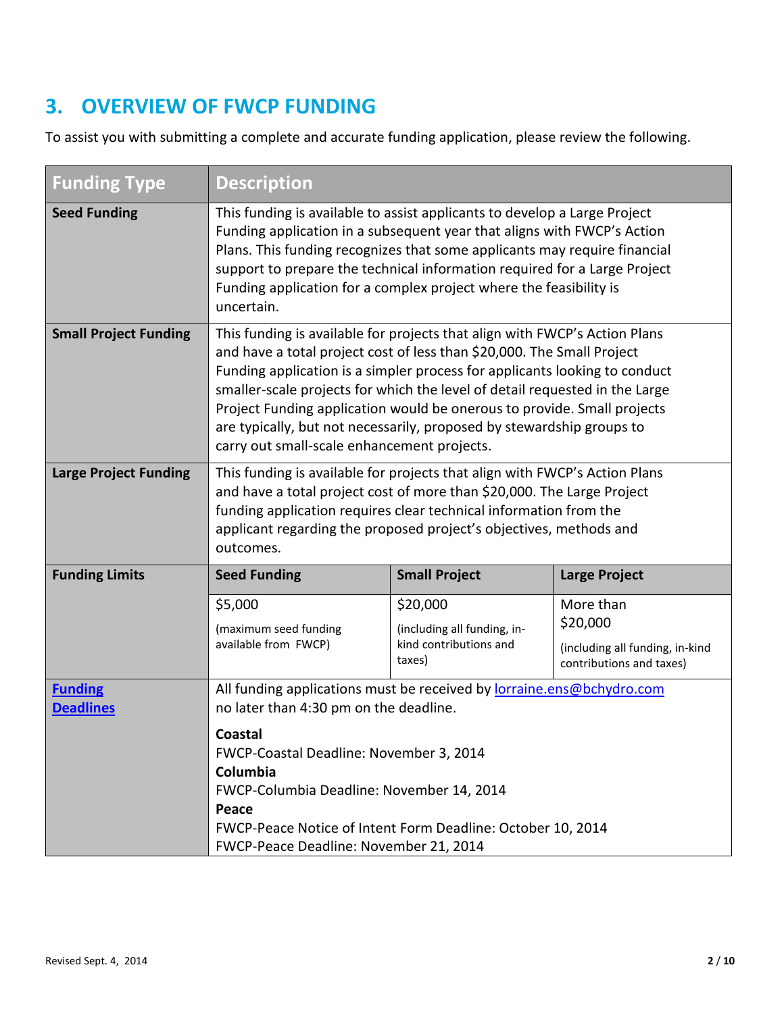# **3. OVERVIEW OF FWCP FUNDING**

To assist you with submitting a complete and accurate funding application, please review the following.

| <b>Funding Type</b>                | <b>Description</b>                                                                                                                                                                                                                                                                                                                                                                                                                                                                                                   |                                  |                                                             |  |
|------------------------------------|----------------------------------------------------------------------------------------------------------------------------------------------------------------------------------------------------------------------------------------------------------------------------------------------------------------------------------------------------------------------------------------------------------------------------------------------------------------------------------------------------------------------|----------------------------------|-------------------------------------------------------------|--|
| <b>Seed Funding</b>                | This funding is available to assist applicants to develop a Large Project<br>Funding application in a subsequent year that aligns with FWCP's Action<br>Plans. This funding recognizes that some applicants may require financial<br>support to prepare the technical information required for a Large Project<br>Funding application for a complex project where the feasibility is<br>uncertain.                                                                                                                   |                                  |                                                             |  |
| <b>Small Project Funding</b>       | This funding is available for projects that align with FWCP's Action Plans<br>and have a total project cost of less than \$20,000. The Small Project<br>Funding application is a simpler process for applicants looking to conduct<br>smaller-scale projects for which the level of detail requested in the Large<br>Project Funding application would be onerous to provide. Small projects<br>are typically, but not necessarily, proposed by stewardship groups to<br>carry out small-scale enhancement projects. |                                  |                                                             |  |
| <b>Large Project Funding</b>       | This funding is available for projects that align with FWCP's Action Plans<br>and have a total project cost of more than \$20,000. The Large Project<br>funding application requires clear technical information from the<br>applicant regarding the proposed project's objectives, methods and<br>outcomes.                                                                                                                                                                                                         |                                  |                                                             |  |
| <b>Funding Limits</b>              | <b>Seed Funding</b>                                                                                                                                                                                                                                                                                                                                                                                                                                                                                                  | <b>Small Project</b>             | <b>Large Project</b>                                        |  |
|                                    | \$5,000                                                                                                                                                                                                                                                                                                                                                                                                                                                                                                              | \$20,000                         | More than                                                   |  |
|                                    | (maximum seed funding                                                                                                                                                                                                                                                                                                                                                                                                                                                                                                | (including all funding, in-      | \$20,000                                                    |  |
|                                    | available from FWCP)                                                                                                                                                                                                                                                                                                                                                                                                                                                                                                 | kind contributions and<br>taxes) | (including all funding, in-kind<br>contributions and taxes) |  |
| <b>Funding</b><br><b>Deadlines</b> | All funding applications must be received by lorraine.ens@bchydro.com<br>no later than 4:30 pm on the deadline.                                                                                                                                                                                                                                                                                                                                                                                                      |                                  |                                                             |  |
|                                    | Coastal<br>FWCP-Coastal Deadline: November 3, 2014<br>Columbia<br>FWCP-Columbia Deadline: November 14, 2014<br>Peace<br>FWCP-Peace Notice of Intent Form Deadline: October 10, 2014<br>FWCP-Peace Deadline: November 21, 2014                                                                                                                                                                                                                                                                                        |                                  |                                                             |  |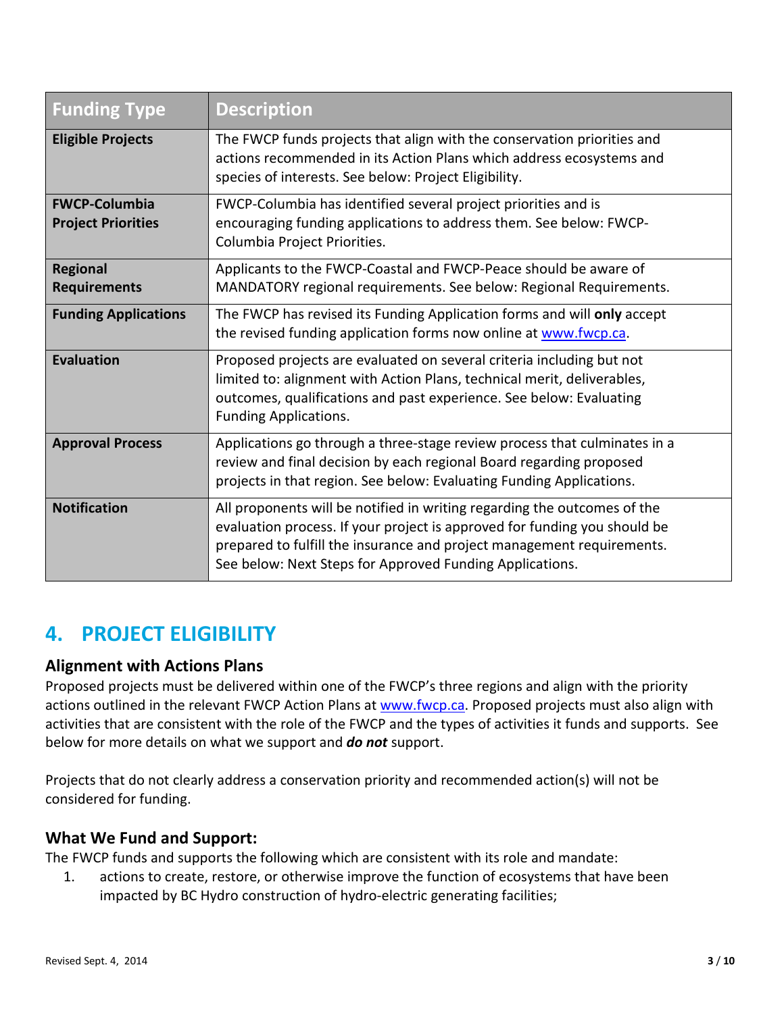| <b>Funding Type</b>                               | <b>Description</b>                                                                                                                                                                                                                                                                          |
|---------------------------------------------------|---------------------------------------------------------------------------------------------------------------------------------------------------------------------------------------------------------------------------------------------------------------------------------------------|
| <b>Eligible Projects</b>                          | The FWCP funds projects that align with the conservation priorities and<br>actions recommended in its Action Plans which address ecosystems and<br>species of interests. See below: Project Eligibility.                                                                                    |
| <b>FWCP-Columbia</b><br><b>Project Priorities</b> | FWCP-Columbia has identified several project priorities and is<br>encouraging funding applications to address them. See below: FWCP-<br>Columbia Project Priorities.                                                                                                                        |
| <b>Regional</b><br><b>Requirements</b>            | Applicants to the FWCP-Coastal and FWCP-Peace should be aware of<br>MANDATORY regional requirements. See below: Regional Requirements.                                                                                                                                                      |
| <b>Funding Applications</b>                       | The FWCP has revised its Funding Application forms and will only accept<br>the revised funding application forms now online at www.fwcp.ca.                                                                                                                                                 |
| <b>Evaluation</b>                                 | Proposed projects are evaluated on several criteria including but not<br>limited to: alignment with Action Plans, technical merit, deliverables,<br>outcomes, qualifications and past experience. See below: Evaluating<br><b>Funding Applications.</b>                                     |
| <b>Approval Process</b>                           | Applications go through a three-stage review process that culminates in a<br>review and final decision by each regional Board regarding proposed<br>projects in that region. See below: Evaluating Funding Applications.                                                                    |
| <b>Notification</b>                               | All proponents will be notified in writing regarding the outcomes of the<br>evaluation process. If your project is approved for funding you should be<br>prepared to fulfill the insurance and project management requirements.<br>See below: Next Steps for Approved Funding Applications. |

## **4. PROJECT ELIGIBILITY**

#### **Alignment with Actions Plans**

Proposed projects must be delivered within one of the FWCP's three regions and align with the priority actions outlined in the relevant FWCP Action Plans at [www.fwcp.ca.](http://www.fwcp.ca/) Proposed projects must also align with activities that are consistent with the role of the FWCP and the types of activities it funds and supports. See below for more details on what we support and *do not* support.

Projects that do not clearly address a conservation priority and recommended action(s) will not be considered for funding.

### **What We Fund and Support:**

The FWCP funds and supports the following which are consistent with its role and mandate:

1. actions to create, restore, or otherwise improve the function of ecosystems that have been impacted by BC Hydro construction of hydro-electric generating facilities;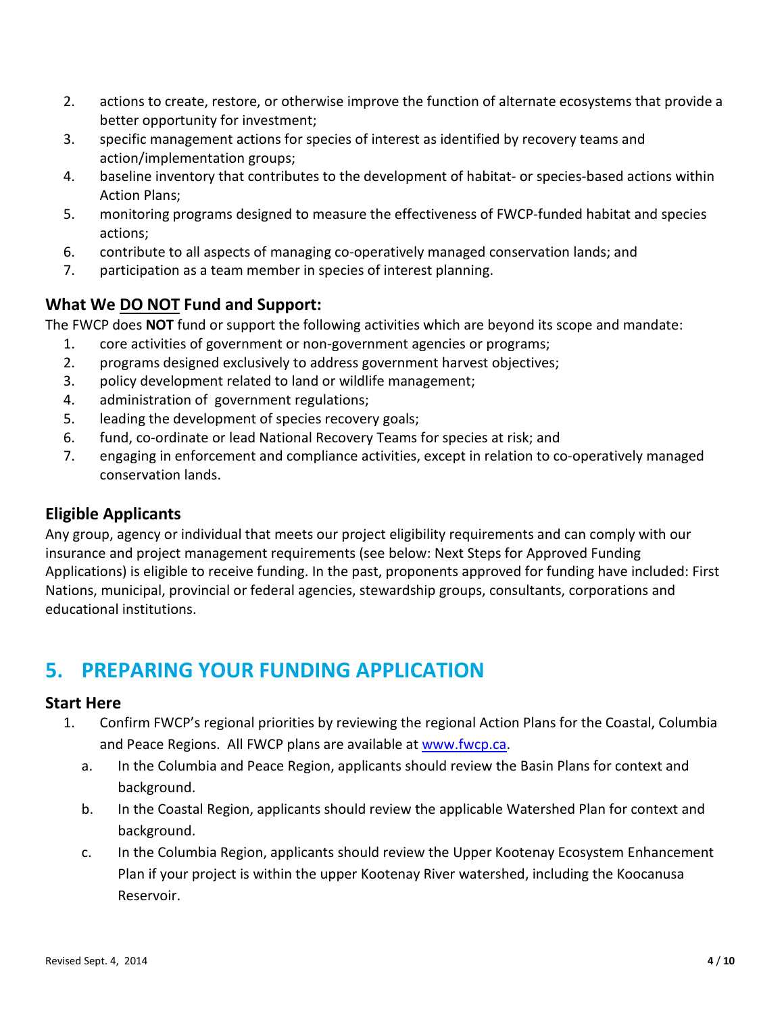- 2. actions to create, restore, or otherwise improve the function of alternate ecosystems that provide a better opportunity for investment;
- 3. specific management actions for species of interest as identified by recovery teams and action/implementation groups;
- 4. baseline inventory that contributes to the development of habitat- or species-based actions within Action Plans;
- 5. monitoring programs designed to measure the effectiveness of FWCP-funded habitat and species actions;
- 6. contribute to all aspects of managing co-operatively managed conservation lands; and
- 7. participation as a team member in species of interest planning.

### **What We DO NOT Fund and Support:**

The FWCP does **NOT** fund or support the following activities which are beyond its scope and mandate:

- 1. core activities of government or non-government agencies or programs;
- 2. programs designed exclusively to address government harvest objectives;
- 3. policy development related to land or wildlife management;
- 4. administration of government regulations;
- 5. leading the development of species recovery goals;
- 6. fund, co-ordinate or lead National Recovery Teams for species at risk; and
- 7. engaging in enforcement and compliance activities, except in relation to co-operatively managed conservation lands.

### **Eligible Applicants**

Any group, agency or individual that meets our project eligibility requirements and can comply with our insurance and project management requirements (see below: Next Steps for Approved Funding Applications) is eligible to receive funding. In the past, proponents approved for funding have included: First Nations, municipal, provincial or federal agencies, stewardship groups, consultants, corporations and educational institutions.

# **5. PREPARING YOUR FUNDING APPLICATION**

#### **Start Here**

- 1. Confirm FWCP's regional priorities by reviewing the regional Action Plans for the Coastal, Columbia and Peace Regions. All FWCP plans are available at [www.fwcp.ca.](http://www.fwcp.ca/)
	- a. In the Columbia and Peace Region, applicants should review the Basin Plans for context and background.
	- b. In the Coastal Region, applicants should review the applicable Watershed Plan for context and background.
	- c. In the Columbia Region, applicants should review the Upper Kootenay Ecosystem Enhancement Plan if your project is within the upper Kootenay River watershed, including the Koocanusa Reservoir.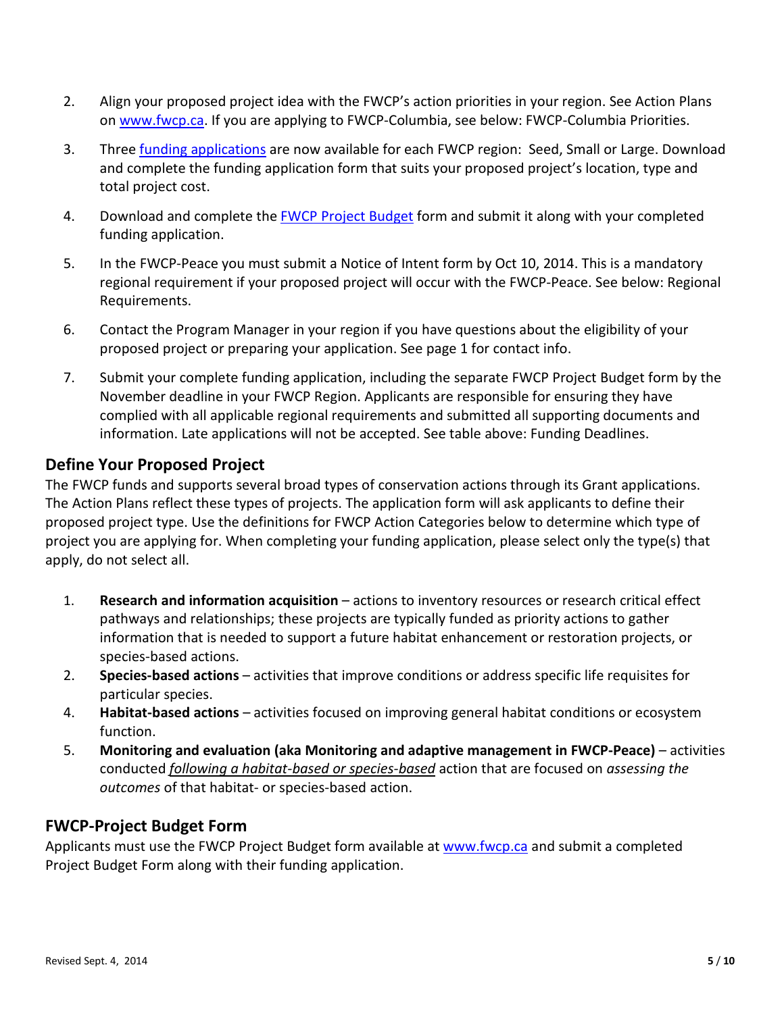- 2. Align your proposed project idea with the FWCP's action priorities in your region. See Action Plans on [www.fwcp.ca.](http://www.fwcp.ca/) If you are applying to FWCP-Columbia, see below: FWCP-Columbia Priorities.
- 3. Three [funding applications](http://www.bchydro.com/about/sustainability/environmental_responsibility/compensation_programs/funding_donations.html) are now available for each FWCP region: Seed, Small or Large. Download and complete the funding application form that suits your proposed project's location, type and total project cost.
- 4. Download and complete the [FWCP Project Budget](http://www.bchydro.com/about/sustainability/environmental_responsibility/compensation_programs/funding_donations.html) form and submit it along with your completed funding application.
- 5. In the FWCP-Peace you must submit a Notice of Intent form by Oct 10, 2014. This is a mandatory regional requirement if your proposed project will occur with the FWCP-Peace. See below: Regional Requirements.
- 6. Contact the Program Manager in your region if you have questions about the eligibility of your proposed project or preparing your application. See page 1 for contact info.
- 7. Submit your complete funding application, including the separate FWCP Project Budget form by the November deadline in your FWCP Region. Applicants are responsible for ensuring they have complied with all applicable regional requirements and submitted all supporting documents and information. Late applications will not be accepted. See table above: Funding Deadlines.

#### **Define Your Proposed Project**

The FWCP funds and supports several broad types of conservation actions through its Grant applications. The Action Plans reflect these types of projects. The application form will ask applicants to define their proposed project type. Use the definitions for FWCP Action Categories below to determine which type of project you are applying for. When completing your funding application, please select only the type(s) that apply, do not select all.

- 1. **Research and information acquisition**  actions to inventory resources or research critical effect pathways and relationships; these projects are typically funded as priority actions to gather information that is needed to support a future habitat enhancement or restoration projects, or species-based actions.
- 2. **Species-based actions**  activities that improve conditions or address specific life requisites for particular species.
- 4. **Habitat-based actions**  activities focused on improving general habitat conditions or ecosystem function.
- 5. **Monitoring and evaluation (aka Monitoring and adaptive management in FWCP-Peace)**  activities conducted *following a habitat-based or species-based* action that are focused on *assessing the outcomes* of that habitat- or species-based action.

#### **FWCP-Project Budget Form**

Applicants must use the FWCP Project Budget form available at [www.fwcp.ca](http://www.bchydro.com/about/sustainability/environmental_responsibility/compensation_programs/funding_donations.html) and submit a completed Project Budget Form along with their funding application.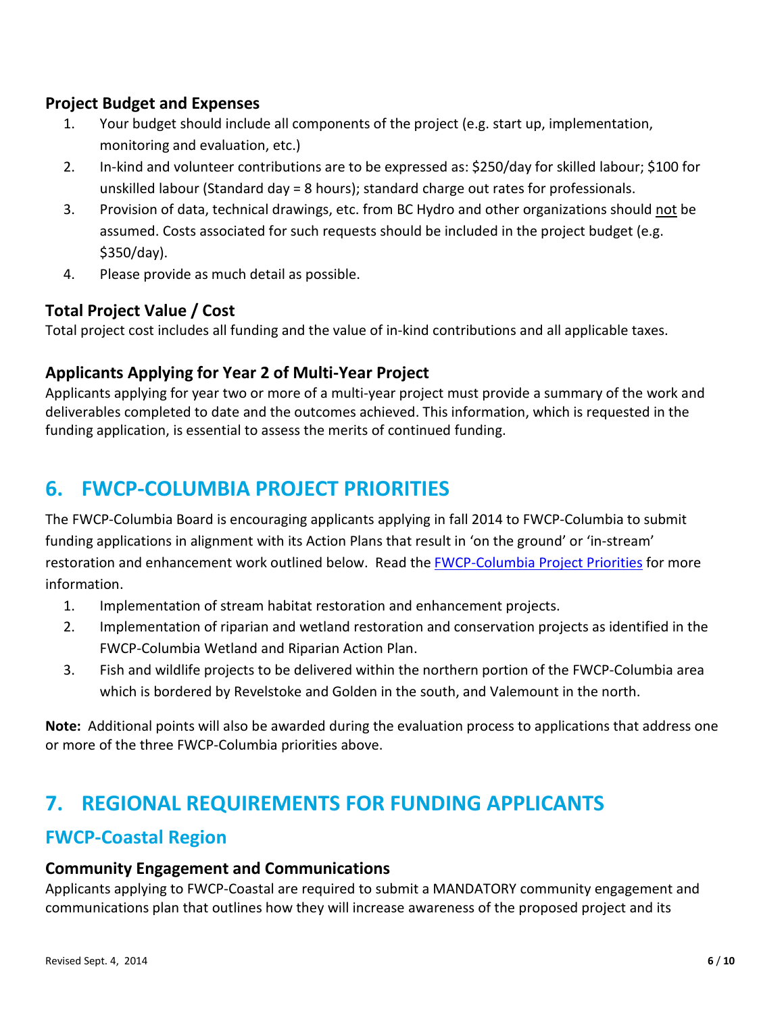### **Project Budget and Expenses**

- 1. Your budget should include all components of the project (e.g. start up, implementation, monitoring and evaluation, etc.)
- 2. In-kind and volunteer contributions are to be expressed as: \$250/day for skilled labour; \$100 for unskilled labour (Standard day = 8 hours); standard charge out rates for professionals.
- 3. Provision of data, technical drawings, etc. from BC Hydro and other organizations should not be assumed. Costs associated for such requests should be included in the project budget (e.g. \$350/day).
- 4. Please provide as much detail as possible.

### **Total Project Value / Cost**

Total project cost includes all funding and the value of in-kind contributions and all applicable taxes.

#### **Applicants Applying for Year 2 of Multi-Year Project**

Applicants applying for year two or more of a multi-year project must provide a summary of the work and deliverables completed to date and the outcomes achieved. This information, which is requested in the funding application, is essential to assess the merits of continued funding.

# **6. FWCP-COLUMBIA PROJECT PRIORITIES**

The FWCP-Columbia Board is encouraging applicants applying in fall 2014 to FWCP-Columbia to submit funding applications in alignment with its Action Plans that result in 'on the ground' or 'in-stream' restoration and enhancement work outlined below. Read the **FWCP-Columbia Project Priorities** for more information.

- 1. Implementation of stream habitat restoration and enhancement projects.
- 2. Implementation of riparian and wetland restoration and conservation projects as identified in the FWCP-Columbia Wetland and Riparian Action Plan.
- 3. Fish and wildlife projects to be delivered within the northern portion of the FWCP-Columbia area which is bordered by Revelstoke and Golden in the south, and Valemount in the north.

**Note:** Additional points will also be awarded during the evaluation process to applications that address one or more of the three FWCP-Columbia priorities above.

## **7. REGIONAL REQUIREMENTS FOR FUNDING APPLICANTS**

### **FWCP-Coastal Region**

#### **Community Engagement and Communications**

Applicants applying to FWCP-Coastal are required to submit a MANDATORY community engagement and communications plan that outlines how they will increase awareness of the proposed project and its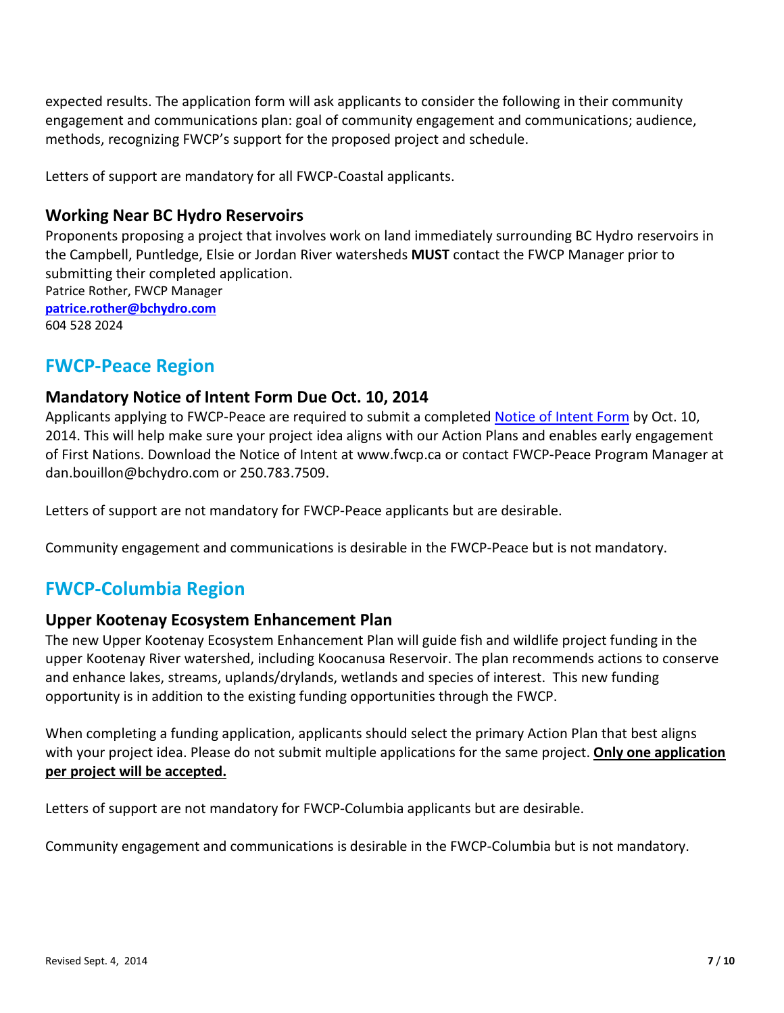expected results. The application form will ask applicants to consider the following in their community engagement and communications plan: goal of community engagement and communications; audience, methods, recognizing FWCP's support for the proposed project and schedule.

Letters of support are mandatory for all FWCP-Coastal applicants.

#### **Working Near BC Hydro Reservoirs**

Proponents proposing a project that involves work on land immediately surrounding BC Hydro reservoirs in the Campbell, Puntledge, Elsie or Jordan River watersheds **MUST** contact the FWCP Manager prior to submitting their completed application. Patrice Rother, FWCP Manager **[patrice.rother@bchydro.com](mailto:patrice.rother@bchydro.com)** 604 528 2024

### **FWCP-Peace Region**

#### **Mandatory Notice of Intent Form Due Oct. 10, 2014**

Applicants applying to FWCP-Peace are required to submit a completed [Notice of Intent Form](http://www.bchydro.com/about/sustainability/environmental_responsibility/compensation_programs/peace_region.html) by Oct. 10, 2014. This will help make sure your project idea aligns with our Action Plans and enables early engagement of First Nations. Download the Notice of Intent at www.fwcp.ca or contact FWCP-Peace Program Manager at dan.bouillon@bchydro.com or 250.783.7509.

Letters of support are not mandatory for FWCP-Peace applicants but are desirable.

Community engagement and communications is desirable in the FWCP-Peace but is not mandatory.

### **FWCP-Columbia Region**

#### **Upper Kootenay Ecosystem Enhancement Plan**

The new Upper Kootenay Ecosystem Enhancement Plan will guide fish and wildlife project funding in the upper Kootenay River watershed, including Koocanusa Reservoir. The plan recommends actions to conserve and enhance lakes, streams, uplands/drylands, wetlands and species of interest. This new funding opportunity is in addition to the existing funding opportunities through the FWCP.

When completing a funding application, applicants should select the primary Action Plan that best aligns with your project idea. Please do not submit multiple applications for the same project. **Only one application per project will be accepted.**

Letters of support are not mandatory for FWCP-Columbia applicants but are desirable.

Community engagement and communications is desirable in the FWCP-Columbia but is not mandatory.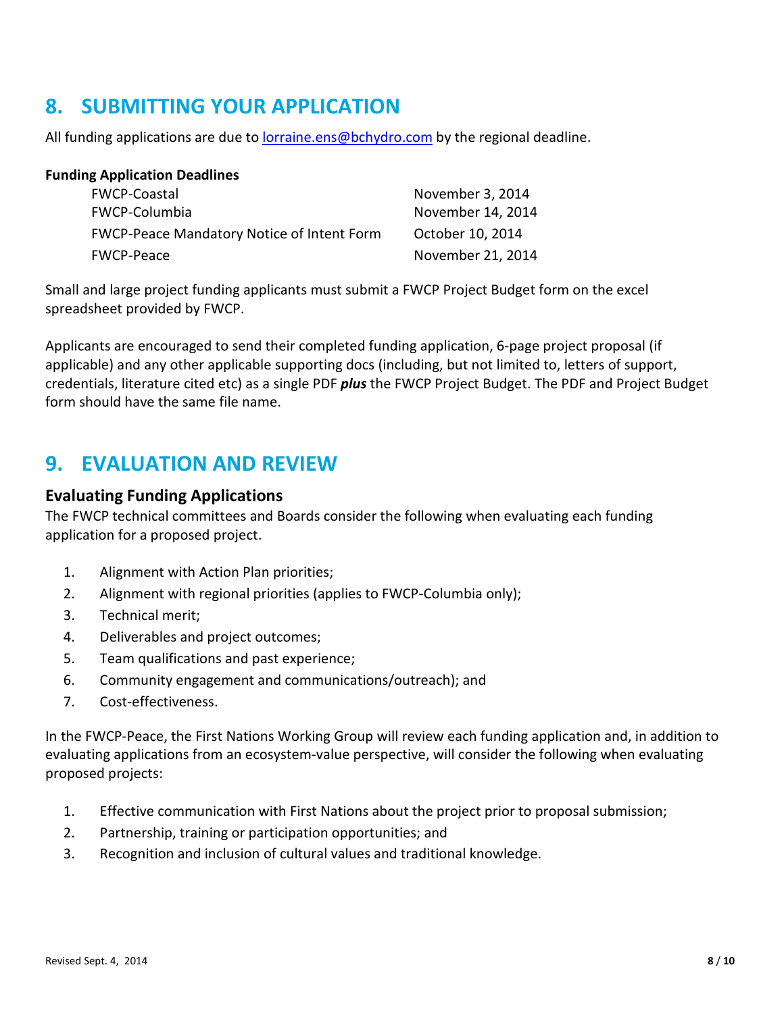# **8. SUBMITTING YOUR APPLICATION**

All funding applications are due to [lorraine.ens@bchydro.com](mailto:lorraine.ens@bchydro.com) by the regional deadline.

| <b>Funding Application Deadlines</b>              |                   |
|---------------------------------------------------|-------------------|
| <b>FWCP-Coastal</b>                               | November 3, 2014  |
| FWCP-Columbia                                     | November 14, 2014 |
| <b>FWCP-Peace Mandatory Notice of Intent Form</b> | October 10, 2014  |
| <b>FWCP-Peace</b>                                 | November 21, 2014 |

Small and large project funding applicants must submit a FWCP Project Budget form on the excel spreadsheet provided by FWCP.

Applicants are encouraged to send their completed funding application, 6-page project proposal (if applicable) and any other applicable supporting docs (including, but not limited to, letters of support, credentials, literature cited etc) as a single PDF *plus* the FWCP Project Budget. The PDF and Project Budget form should have the same file name.

## **9. EVALUATION AND REVIEW**

#### **Evaluating Funding Applications**

The FWCP technical committees and Boards consider the following when evaluating each funding application for a proposed project.

- 1. Alignment with Action Plan priorities;
- 2. Alignment with regional priorities (applies to FWCP-Columbia only);
- 3. Technical merit;
- 4. Deliverables and project outcomes;
- 5. Team qualifications and past experience;
- 6. Community engagement and communications/outreach); and
- 7. Cost-effectiveness.

In the FWCP-Peace, the First Nations Working Group will review each funding application and, in addition to evaluating applications from an ecosystem-value perspective, will consider the following when evaluating proposed projects:

- 1. Effective communication with First Nations about the project prior to proposal submission;
- 2. Partnership, training or participation opportunities; and
- 3. Recognition and inclusion of cultural values and traditional knowledge.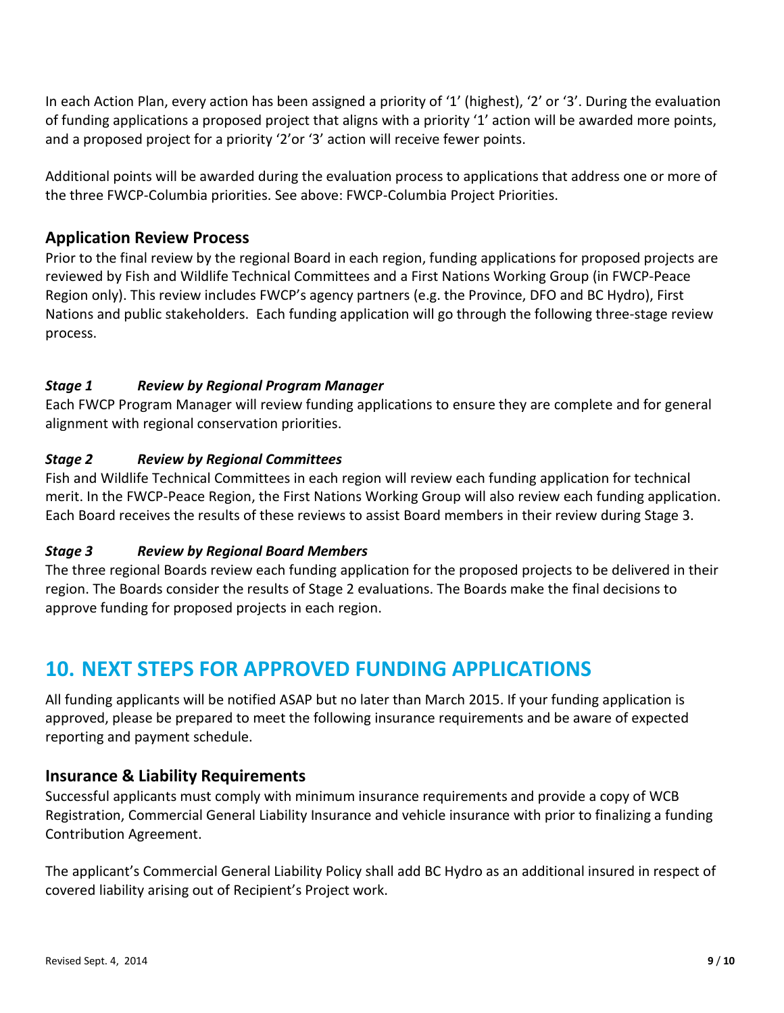In each Action Plan, every action has been assigned a priority of '1' (highest), '2' or '3'. During the evaluation of funding applications a proposed project that aligns with a priority '1' action will be awarded more points, and a proposed project for a priority '2'or '3' action will receive fewer points.

Additional points will be awarded during the evaluation process to applications that address one or more of the three FWCP-Columbia priorities. See above: FWCP-Columbia Project Priorities.

### **Application Review Process**

Prior to the final review by the regional Board in each region, funding applications for proposed projects are reviewed by Fish and Wildlife Technical Committees and a First Nations Working Group (in FWCP-Peace Region only). This review includes FWCP's agency partners (e.g. the Province, DFO and BC Hydro), First Nations and public stakeholders. Each funding application will go through the following three-stage review process.

#### *Stage 1 Review by Regional Program Manager*

Each FWCP Program Manager will review funding applications to ensure they are complete and for general alignment with regional conservation priorities.

#### *Stage 2 Review by Regional Committees*

Fish and Wildlife Technical Committees in each region will review each funding application for technical merit. In the FWCP-Peace Region, the First Nations Working Group will also review each funding application. Each Board receives the results of these reviews to assist Board members in their review during Stage 3.

#### *Stage 3 Review by Regional Board Members*

The three regional Boards review each funding application for the proposed projects to be delivered in their region. The Boards consider the results of Stage 2 evaluations. The Boards make the final decisions to approve funding for proposed projects in each region.

## **10. NEXT STEPS FOR APPROVED FUNDING APPLICATIONS**

All funding applicants will be notified ASAP but no later than March 2015. If your funding application is approved, please be prepared to meet the following insurance requirements and be aware of expected reporting and payment schedule.

#### **Insurance & Liability Requirements**

Successful applicants must comply with minimum insurance requirements and provide a copy of WCB Registration, Commercial General Liability Insurance and vehicle insurance with prior to finalizing a funding Contribution Agreement.

The applicant's Commercial General Liability Policy shall add BC Hydro as an additional insured in respect of covered liability arising out of Recipient's Project work.